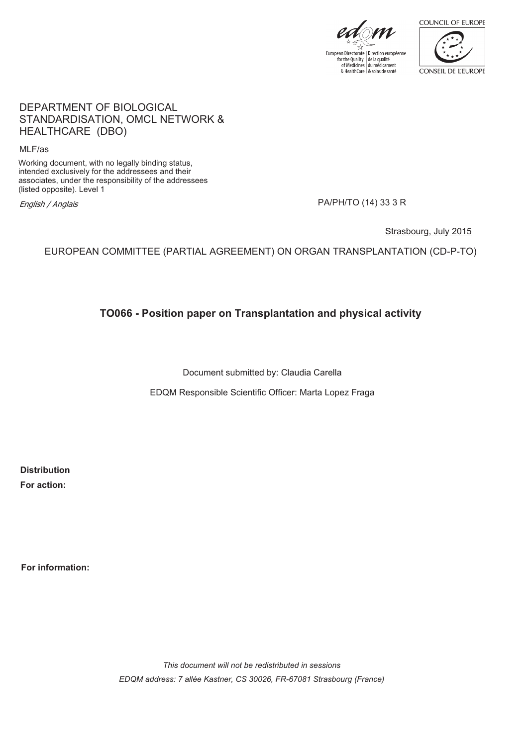

European Directorate | Direction européenne<br>for the Quality | de la qualité<br>of Medicines | du médicament & HealthCare & soins de santé



#### DEPARTMENT OF BIOLOGICAL STANDARDISATION, OMCL NETWORK & HEALTHCARE (DBO)

MLF/as

Working document, with no legally binding status, intended exclusively for the addressees and their associates, under the responsibility of the addressees (listed opposite). Level 1 English / Anglais<br>Iisted opposite). Level 1<br>English / Anglais

Strasbourg, July 2015

EUROPEAN COMMITTEE (PARTIAL AGREEMENT) ON ORGAN TRANSPLANTATION (CD-P-TO)

**TO066 - Position paper on Transplantation and physical activity**

Document submitted by: Claudia Carella

EDQM Responsible Scientific Officer: Marta Lopez Fraga

**Distribution For action:**

**For information:**

*This document will not be redistributed in sessions EDQM address: 7 allée Kastner, CS 30026, FR-67081 Strasbourg (France)*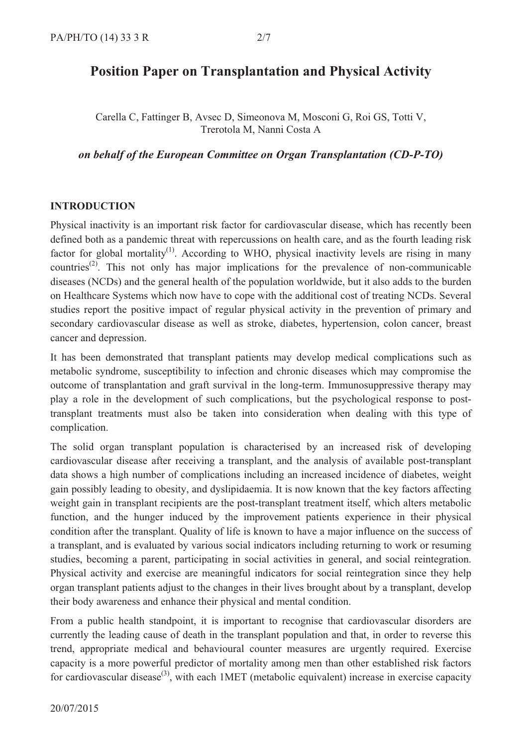# **Position Paper on Transplantation and Physical Activity**

Carella C, Fattinger B, Avsec D, Simeonova M, Mosconi G, Roi GS, Totti V, Trerotola M, Nanni Costa A

*on behalf of the European Committee on Organ Transplantation (CD-P-TO)*

#### **INTRODUCTION**

Physical inactivity is an important risk factor for cardiovascular disease, which has recently been defined both as a pandemic threat with repercussions on health care, and as the fourth leading risk factor for global mortality<sup>(1)</sup>. According to WHO, physical inactivity levels are rising in many countries<sup>(2)</sup>. This not only has major implications for the prevalence of non-communicable diseases (NCDs) and the general health of the population worldwide, but it also adds to the burden on Healthcare Systems which now have to cope with the additional cost of treating NCDs. Several studies report the positive impact of regular physical activity in the prevention of primary and secondary cardiovascular disease as well as stroke, diabetes, hypertension, colon cancer, breast cancer and depression.

It has been demonstrated that transplant patients may develop medical complications such as metabolic syndrome, susceptibility to infection and chronic diseases which may compromise the outcome of transplantation and graft survival in the long-term. Immunosuppressive therapy may play a role in the development of such complications, but the psychological response to post transplant treatments must also be taken into consideration when dealing with this type of complication.

The solid organ transplant population is characterised by an increased risk of developing cardiovascular disease after receiving a transplant, and the analysis of available post-transplant data shows a high number of complications including an increased incidence of diabetes, weight gain possibly leading to obesity, and dyslipidaemia. It is now known that the key factors affecting weight gain in transplant recipients are the post-transplant treatment itself, which alters metabolic function, and the hunger induced by the improvement patients experience in their physical condition after the transplant. Quality of life is known to have a major influence on the success of a transplant, and is evaluated by various social indicators including returning to work or resuming studies, becoming a parent, participating in social activities in general, and social reintegration. Physical activity and exercise are meaningful indicators for social reintegration since they help organ transplant patients adjust to the changes in their lives brought about by a transplant, develop their body awareness and enhance their physical and mental condition.

From a public health standpoint, it is important to recognise that cardiovascular disorders are currently the leading cause of death in the transplant population and that, in order to reverse this trend, appropriate medical and behavioural counter measures are urgently required. Exercise capacity is a more powerful predictor of mortality among men than other established risk factors for cardiovascular disease<sup>(3)</sup>, with each 1MET (metabolic equivalent) increase in exercise capacity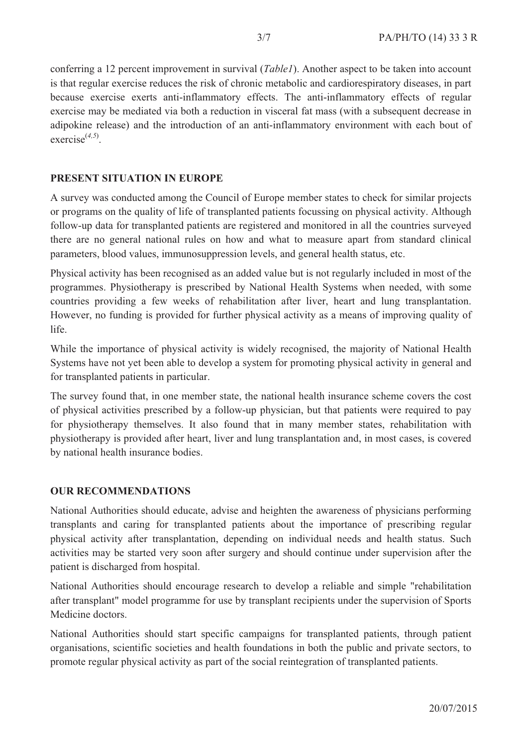conferring a 12 percent improvement in survival (*Table1*). Another aspect to be taken into account is that regular exercise reduces the risk of chronic metabolic and cardiorespiratory diseases, in part because exercise exerts anti-inflammatory effects. The anti-inflammatory effects of regular exercise may be mediated via both a reduction in visceral fat mass (with a subsequent decrease in adipokine release) and the introduction of an anti-inflammatory environment with each bout of exercise(*4,5*) .

# **PRESENT SITUATION IN EUROPE**

A survey was conducted among the Council of Europe member states to check for similar projects or programs on the quality of life of transplanted patients focussing on physical activity. Although follow-up data for transplanted patients are registered and monitored in all the countries surveyed there are no general national rules on how and what to measure apart from standard clinical parameters, blood values, immunosuppression levels, and general health status, etc.

Physical activity has been recognised as an added value but is not regularly included in most of the programmes. Physiotherapy is prescribed by National Health Systems when needed, with some countries providing a few weeks of rehabilitation after liver, heart and lung transplantation. However, no funding is provided for further physical activity as a means of improving quality of life.

While the importance of physical activity is widely recognised, the majority of National Health Systems have not yet been able to develop a system for promoting physical activity in general and for transplanted patients in particular.

The survey found that, in one member state, the national health insurance scheme covers the cost of physical activities prescribed by a follow-up physician, but that patients were required to pay for physiotherapy themselves. It also found that in many member states, rehabilitation with physiotherapy is provided after heart, liver and lung transplantation and, in most cases, is covered by national health insurance bodies.

## **OUR RECOMMENDATIONS**

National Authorities should educate, advise and heighten the awareness of physicians performing transplants and caring for transplanted patients about the importance of prescribing regular physical activity after transplantation, depending on individual needs and health status. Such activities may be started very soon after surgery and should continue under supervision after the patient is discharged from hospital.

National Authorities should encourage research to develop a reliable and simple "rehabilitation after transplant" model programme for use by transplant recipients under the supervision of Sports Medicine doctors.

National Authorities should start specific campaigns for transplanted patients, through patient organisations, scientific societies and health foundations in both the public and private sectors, to promote regular physical activity as part of the social reintegration of transplanted patients.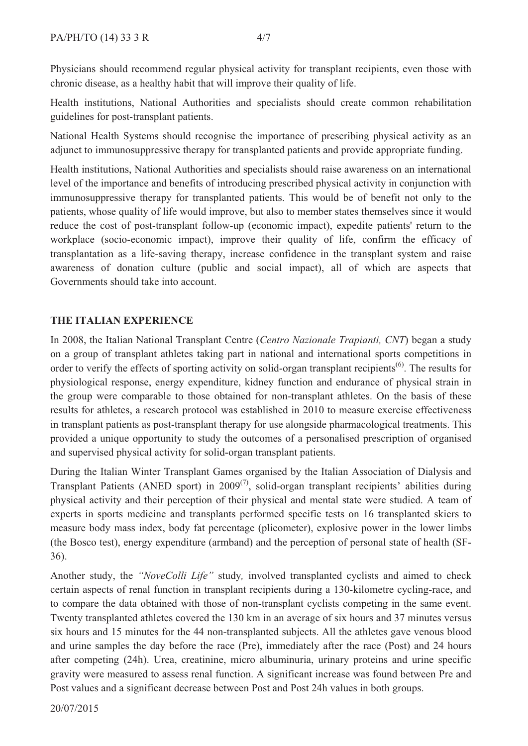Physicians should recommend regular physical activity for transplant recipients, even those with chronic disease, as a healthy habit that will improve their quality of life.

Health institutions, National Authorities and specialists should create common rehabilitation guidelines for post-transplant patients.

National Health Systems should recognise the importance of prescribing physical activity as an adjunct to immunosuppressive therapy for transplanted patients and provide appropriate funding.

Health institutions, National Authorities and specialists should raise awareness on an international level of the importance and benefits of introducing prescribed physical activity in conjunction with immunosuppressive therapy for transplanted patients. This would be of benefit not only to the patients, whose quality of life would improve, but also to member states themselves since it would reduce the cost of post-transplant follow-up (economic impact), expedite patients' return to the reduce the cost of post-transplant follow-up (economic impact), expedite patients' return to the workplace (socio-economic impact), improve their quality of life, confirm the efficacy of transplantation as a life-saving therapy, increase confidence in the transplant system and raise awareness of donation culture (public and social impact), all of which are aspects that Governments should take into account.

# **THE ITALIAN EXPERIENCE**

In 2008, the Italian National Transplant Centre (*Centro Nazionale Trapianti, CNT*) began a study on a group of transplant athletes taking part in national and international sports competitions in order to verify the effects of sporting activity on solid-organ transplant recipients<sup>(6)</sup>. The results for physiological response, energy expenditure, kidney function and endurance of physical strain in the group were comparable to those obtained for non-transplant athletes. On the basis of these results for athletes, a research protocol was established in 2010 to measure exercise effectiveness in transplant patients as post-transplant therapy for use alongside pharmacological treatments. This provided a unique opportunity to study the outcomes of a personalised prescription of organised and supervised physical activity for solid-organ transplant patients.

During the Italian Winter Transplant Games organised by the Italian Association of Dialysis and Transplant Patients (ANED sport) in 2009<sup>(7)</sup>, solid-organ transplant recipients' abilities during physical activity and their perception of their physical and mental state were studied. A team of experts in sports medicine and transplants performed specific tests on 16 transplanted skiers to measure body mass index, body fat percentage (plicometer), explosive power in the lower limbs (the Bosco test), energy expenditure (armband) and the perception of personal state of health (SF- 36).

Another study, the *"NoveColli Life"* study*,* involved transplanted cyclists and aimed to check certain aspects of renal function in transplant recipients during a 130-kilometre cycling-race, and to compare the data obtained with those of non-transplant cyclists competing in the same event. Twenty transplanted athletes covered the 130 km in an average of six hours and 37 minutes versus six hours and 15 minutes for the 44 non-transplanted subjects. All the athletes gave venous blood and urine samples the day before the race (Pre), immediately after the race (Post) and 24 hours after competing (24h). Urea, creatinine, micro albuminuria, urinary proteins and urine specific gravity were measured to assess renal function. A significant increase was found between Pre and Post values and a significant decrease between Post and Post 24h values in both groups.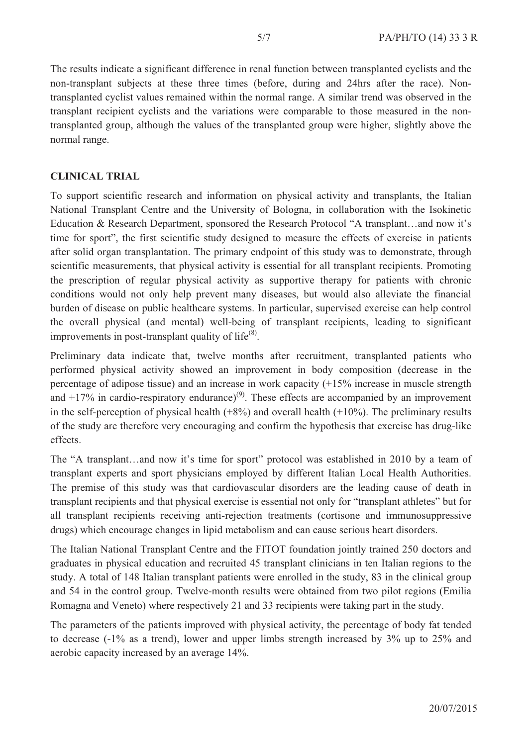The results indicate a significant difference in renal function between transplanted cyclists and the non-transplant subjects at these three times (before, during and 24hrs after the race). Non transplanted cyclist values remained within the normal range. A similar trend was observed in the transplant recipient cyclists and the variations were comparable to those measured in the non transplanted group, although the values of the transplanted group were higher, slightly above the normal range.

#### **CLINICAL TRIAL**

To support scientific research and information on physical activity and transplants, the Italian National Transplant Centre and the University of Bologna, in collaboration with the Isokinetic Education & Research Department, sponsored the Research Protocol "A transplant…and now it's time for sport", the first scientific study designed to measure the effects of exercise in patients after solid organ transplantation. The primary endpoint of this study was to demonstrate, through scientific measurements, that physical activity is essential for all transplant recipients. Promoting the prescription of regular physical activity as supportive therapy for patients with chronic conditions would not only help prevent many diseases, but would also alleviate the financial burden of disease on public healthcare systems. In particular, supervised exercise can help control the overall physical (and mental) well-being of transplant recipients, leading to significant improvements in post-transplant quality of life $^{(8)}$ .

Preliminary data indicate that, twelve months after recruitment, transplanted patients who performed physical activity showed an improvement in body composition (decrease in the percentage of adipose tissue) and an increase in work capacity (+15% increase in muscle strength and  $+17\%$  in cardio-respiratory endurance)<sup>(9)</sup>. These effects are accompanied by an improvement in the self-perception of physical health  $(+8%)$  and overall health  $(+10%)$ . The preliminary results of the study are therefore very encouraging and confirm the hypothesis that exercise has drug-like effects.

The "A transplant…and now it's time for sport" protocol was established in 2010 by a team of transplant experts and sport physicians employed by different Italian Local Health Authorities. The premise of this study was that cardiovascular disorders are the leading cause of death in transplant recipients and that physical exercise is essential not only for "transplant athletes" but for all transplant recipients receiving anti-rejection treatments (cortisone and immunosuppressive drugs) which encourage changes in lipid metabolism and can cause serious heart disorders.

The Italian National Transplant Centre and the FITOT foundation jointly trained 250 doctors and graduates in physical education and recruited 45 transplant clinicians in ten Italian regions to the study. A total of 148 Italian transplant patients were enrolled in the study, 83 in the clinical group and 54 in the control group. Twelve-month results were obtained from two pilot regions (Emilia Romagna and Veneto) where respectively 21 and 33 recipients were taking part in the study.

The parameters of the patients improved with physical activity, the percentage of body fat tended to decrease (-1% as a trend), lower and upper limbs strength increased by 3% up to 25% and aerobic capacity increased by an average 14%.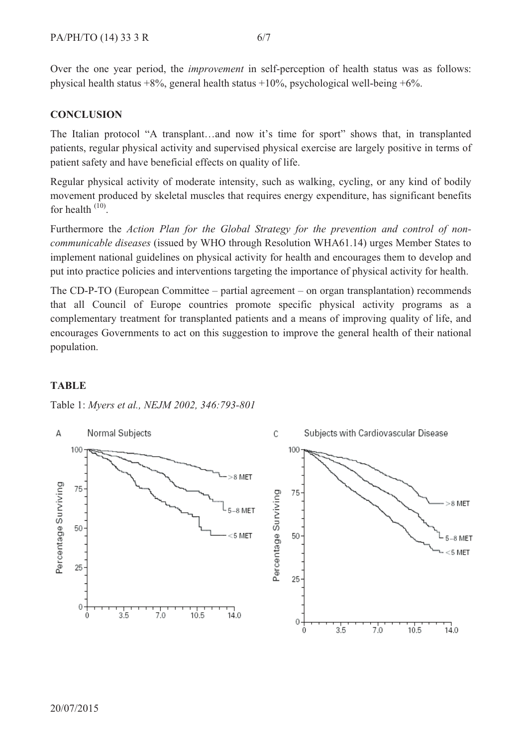Over the one year period, the *improvement* in self-perception of health status was as follows: physical health status +8%, general health status +10%, psychological well-being +6%.

# **CONCLUSION**

The Italian protocol "A transplant…and now it's time for sport" shows that, in transplanted patients, regular physical activity and supervised physical exercise are largely positive in terms of patient safety and have beneficial effects on quality of life.

Regular physical activity of moderate intensity, such as walking, cycling, or any kind of bodily movement produced by skeletal muscles that requires energy expenditure, has significant benefits for health  $(10)$ .

Furthermore the *Action Plan for the Global Strategy for the prevention and control of non communicable diseases* (issued by WHO through Resolution WHA61.14) urges Member States to implement national guidelines on physical activity for health and encourages them to develop and put into practice policies and interventions targeting the importance of physical activity for health.

The CD-P-TO (European Committee – partial agreement – on organ transplantation) recommends that all Council of Europe countries promote specific physical activity programs as a complementary treatment for transplanted patients and a means of improving quality of life, and encourages Governments to act on this suggestion to improve the general health of their national population.

#### **TABLE**

Table 1: *Myers et al., NEJM 2002, 346:793-801*